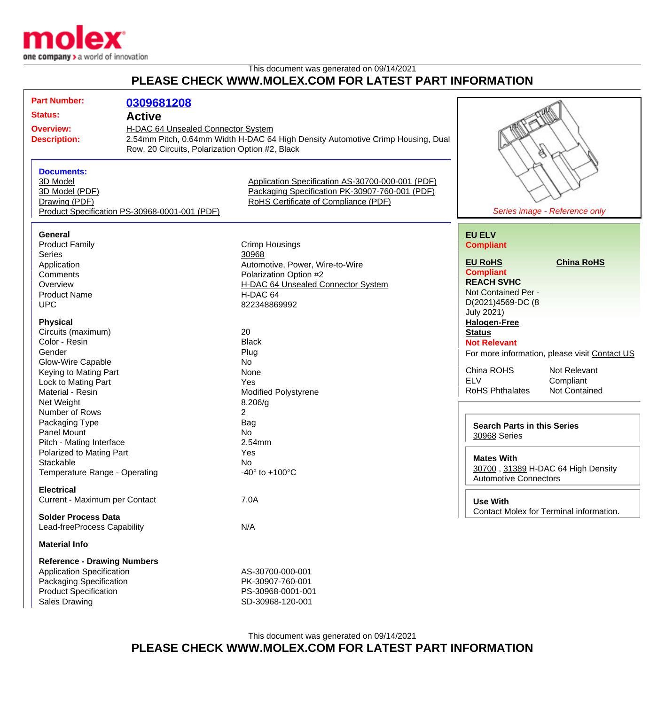

## This document was generated on 09/14/2021 **PLEASE CHECK WWW.MOLEX.COM FOR LATEST PART INFORMATION**

| <b>Part Number:</b><br><b>Status:</b><br><b>Overview:</b><br><b>Description:</b>                                                                                                                            | 0309681208<br><b>Active</b><br>H-DAC 64 Unsealed Connector System<br>Row, 20 Circuits, Polarization Option #2, Black | 2.54mm Pitch, 0.64mm Width H-DAC 64 High Density Automotive Crimp Housing, Dual                                                                               |                                                                                                                                                                                                                                                                             |
|-------------------------------------------------------------------------------------------------------------------------------------------------------------------------------------------------------------|----------------------------------------------------------------------------------------------------------------------|---------------------------------------------------------------------------------------------------------------------------------------------------------------|-----------------------------------------------------------------------------------------------------------------------------------------------------------------------------------------------------------------------------------------------------------------------------|
| <b>Documents:</b><br>3D Model<br>3D Model (PDF)<br>Drawing (PDF)                                                                                                                                            | Product Specification PS-30968-0001-001 (PDF)                                                                        | Application Specification AS-30700-000-001 (PDF)<br>Packaging Specification PK-30907-760-001 (PDF)<br>RoHS Certificate of Compliance (PDF)                    | Series image - Reference only                                                                                                                                                                                                                                               |
| General<br><b>Product Family</b><br><b>Series</b><br>Application<br>Comments<br>Overview<br><b>Product Name</b><br><b>UPC</b>                                                                               |                                                                                                                      | <b>Crimp Housings</b><br>30968<br>Automotive, Power, Wire-to-Wire<br>Polarization Option #2<br>H-DAC 64 Unsealed Connector System<br>H-DAC 64<br>822348869992 | <b>EU ELV</b><br><b>Compliant</b><br><b>EU RoHS</b><br><b>China RoHS</b><br><b>Compliant</b><br><b>REACH SVHC</b><br>Not Contained Per -<br>D(2021)4569-DC (8                                                                                                               |
| <b>Physical</b><br>Circuits (maximum)<br>Color - Resin<br>Gender<br>Glow-Wire Capable<br>Keying to Mating Part<br>Lock to Mating Part<br>Material - Resin<br>Net Weight<br>Number of Rows<br>Packaging Type |                                                                                                                      | 20<br><b>Black</b><br>Plug<br>No<br>None<br>Yes<br><b>Modified Polystyrene</b><br>8.206/g<br>2<br>Bag                                                         | <b>July 2021)</b><br><b>Halogen-Free</b><br><b>Status</b><br><b>Not Relevant</b><br>For more information, please visit Contact US<br>China ROHS<br>Not Relevant<br><b>ELV</b><br>Compliant<br><b>RoHS Phthalates</b><br>Not Contained<br><b>Search Parts in this Series</b> |
| Panel Mount<br>Pitch - Mating Interface<br>Polarized to Mating Part<br>Stackable<br>Temperature Range - Operating<br><b>Electrical</b>                                                                      |                                                                                                                      | No<br>2.54mm<br>Yes<br>No<br>-40 $\degree$ to +100 $\degree$ C                                                                                                | 30968 Series<br><b>Mates With</b><br>30700, 31389 H-DAC 64 High Density<br><b>Automotive Connectors</b>                                                                                                                                                                     |
| Current - Maximum per Contact<br><b>Solder Process Data</b><br>Lead-freeProcess Capability<br><b>Material Info</b>                                                                                          |                                                                                                                      | 7.0A<br>N/A                                                                                                                                                   | <b>Use With</b><br>Contact Molex for Terminal information.                                                                                                                                                                                                                  |
| <b>Reference - Drawing Numbers</b><br><b>Application Specification</b><br>Packaging Specification<br><b>Product Specification</b><br><b>Sales Drawing</b>                                                   |                                                                                                                      | AS-30700-000-001<br>PK-30907-760-001<br>PS-30968-0001-001<br>SD-30968-120-001                                                                                 |                                                                                                                                                                                                                                                                             |